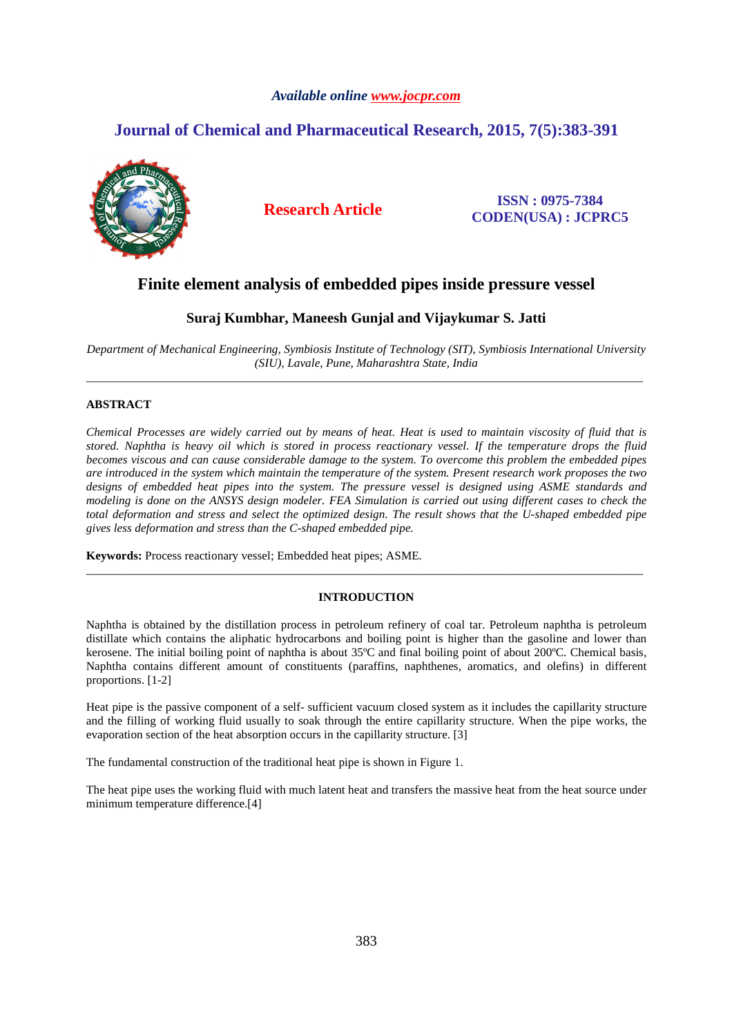# *Available online www.jocpr.com*

# **Journal of Chemical and Pharmaceutical Research, 2015, 7(5):383-391**



**Research Article ISSN : 0975-7384 CODEN(USA) : JCPRC5**

# **Finite element analysis of embedded pipes inside pressure vessel**

# **Suraj Kumbhar, Maneesh Gunjal and Vijaykumar S. Jatti**

*Department of Mechanical Engineering, Symbiosis Institute of Technology (SIT), Symbiosis International University (SIU), Lavale, Pune, Maharashtra State, India*  \_\_\_\_\_\_\_\_\_\_\_\_\_\_\_\_\_\_\_\_\_\_\_\_\_\_\_\_\_\_\_\_\_\_\_\_\_\_\_\_\_\_\_\_\_\_\_\_\_\_\_\_\_\_\_\_\_\_\_\_\_\_\_\_\_\_\_\_\_\_\_\_\_\_\_\_\_\_\_\_\_\_\_\_\_\_\_\_\_\_\_\_\_

# **ABSTRACT**

*Chemical Processes are widely carried out by means of heat. Heat is used to maintain viscosity of fluid that is stored. Naphtha is heavy oil which is stored in process reactionary vessel. If the temperature drops the fluid becomes viscous and can cause considerable damage to the system. To overcome this problem the embedded pipes are introduced in the system which maintain the temperature of the system. Present research work proposes the two designs of embedded heat pipes into the system. The pressure vessel is designed using ASME standards and modeling is done on the ANSYS design modeler. FEA Simulation is carried out using different cases to check the total deformation and stress and select the optimized design. The result shows that the U-shaped embedded pipe gives less deformation and stress than the C-shaped embedded pipe.* 

**Keywords:** Process reactionary vessel; Embedded heat pipes; ASME.

# **INTRODUCTION**

\_\_\_\_\_\_\_\_\_\_\_\_\_\_\_\_\_\_\_\_\_\_\_\_\_\_\_\_\_\_\_\_\_\_\_\_\_\_\_\_\_\_\_\_\_\_\_\_\_\_\_\_\_\_\_\_\_\_\_\_\_\_\_\_\_\_\_\_\_\_\_\_\_\_\_\_\_\_\_\_\_\_\_\_\_\_\_\_\_\_\_\_\_

Naphtha is obtained by the distillation process in petroleum refinery of coal tar. Petroleum naphtha is petroleum distillate which contains the aliphatic hydrocarbons and boiling point is higher than the gasoline and lower than kerosene. The initial boiling point of naphtha is about 35ºC and final boiling point of about 200ºC. Chemical basis, Naphtha contains different amount of constituents (paraffins, naphthenes, aromatics, and olefins) in different proportions. [1-2]

Heat pipe is the passive component of a self- sufficient vacuum closed system as it includes the capillarity structure and the filling of working fluid usually to soak through the entire capillarity structure. When the pipe works, the evaporation section of the heat absorption occurs in the capillarity structure. [3]

The fundamental construction of the traditional heat pipe is shown in Figure 1.

The heat pipe uses the working fluid with much latent heat and transfers the massive heat from the heat source under minimum temperature difference.[4]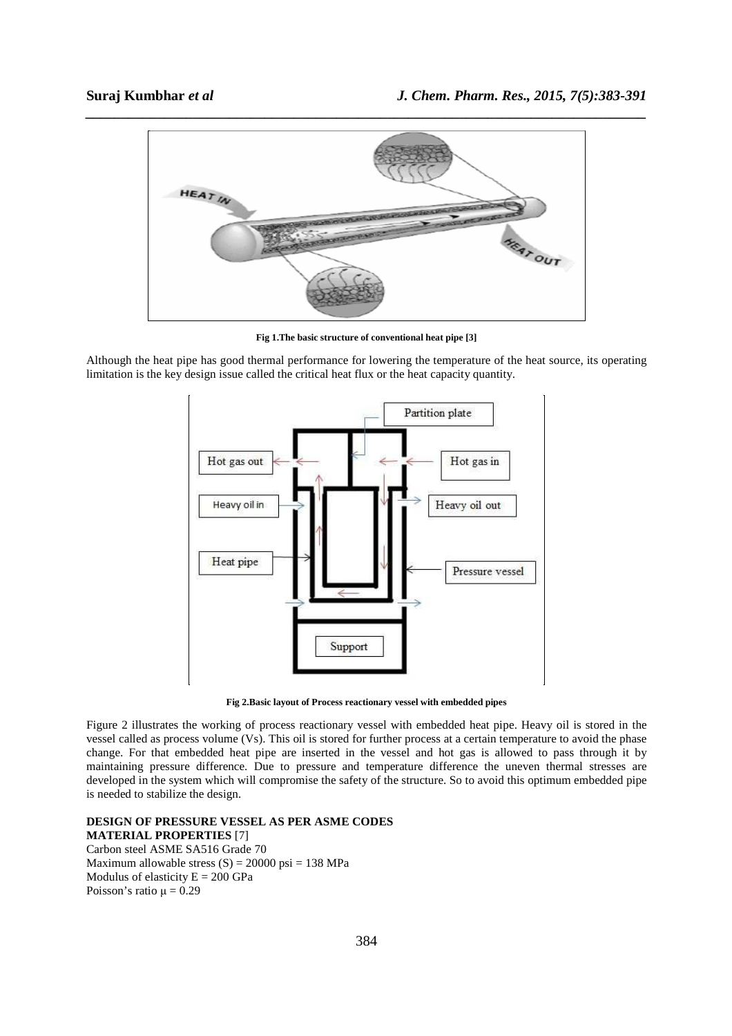

**Fig 1.The basic structure of conventional heat pipe [3]** 

Although the heat pipe has good thermal performance for lowering the temperature of the heat source, its operating limitation is the key design issue called the critical heat flux or the heat capacity quantity.



**Fig 2.Basic layout of Process reactionary vessel with embedded pipes** 

Figure 2 illustrates the working of process reactionary vessel with embedded heat pipe. Heavy oil is stored in the vessel called as process volume (Vs). This oil is stored for further process at a certain temperature to avoid the phase change. For that embedded heat pipe are inserted in the vessel and hot gas is allowed to pass through it by maintaining pressure difference. Due to pressure and temperature difference the uneven thermal stresses are developed in the system which will compromise the safety of the structure. So to avoid this optimum embedded pipe is needed to stabilize the design.

**DESIGN OF PRESSURE VESSEL AS PER ASME CODES MATERIAL PROPERTIES** [7] Carbon steel ASME SA516 Grade 70

Maximum allowable stress  $(S) = 20000 \text{ psi} = 138 \text{ MPa}$ Modulus of elasticity  $E = 200$  GPa Poisson's ratio  $\mu = 0.29$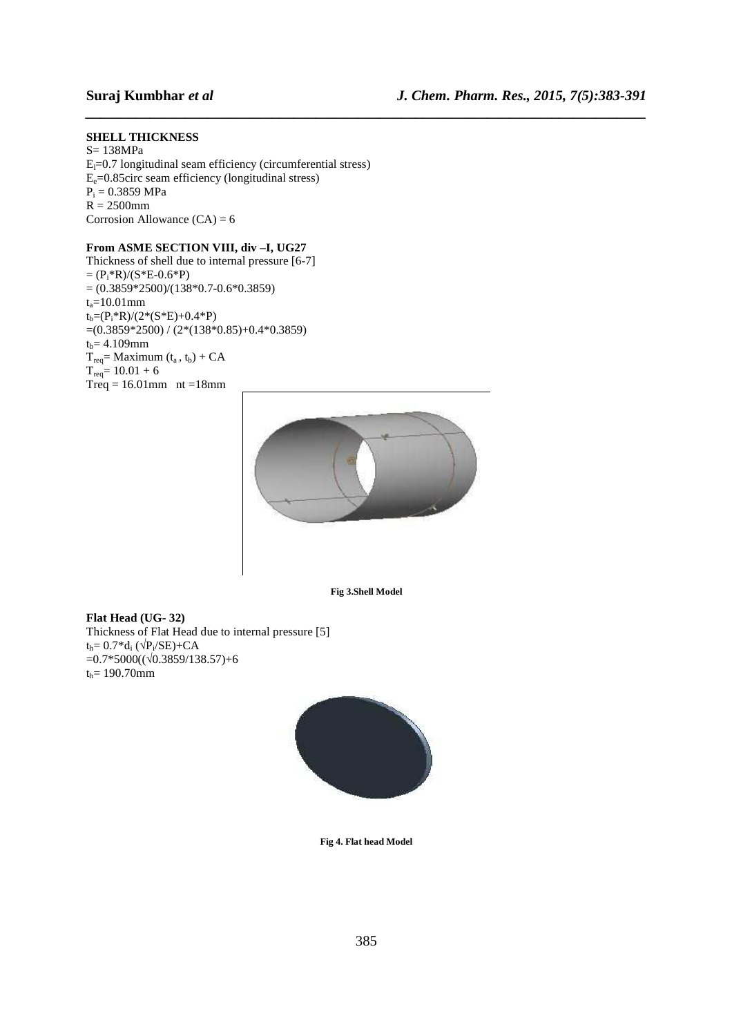# **SHELL THICKNESS**

S= 138MPa  $E_l$ =0.7 longitudinal seam efficiency (circumferential stress)  $E_e$ =0.85circ seam efficiency (longitudinal stress)  $P_i = 0.3859$  MPa  $\overrightarrow{R}$  = 2500mm Corrosion Allowance  $(CA) = 6$ 

# **From ASME SECTION VIII, div –I, UG27**

Thickness of shell due to internal pressure [6-7]  $=(P_i * R)/(S * E - 0.6 * P)$  $=(0.3859*2500)/(138*0.7-0.6*0.3859)$  $t_a = 10.01$ mm  $t_b = (P_i * R)/(2 * (S * E) + 0.4 * P)$  $=(0.3859*2500)/(2*(138*0.85)+0.4*0.3859)$  $t_b = 4.109$ mm  $T_{req}$ = Maximum  $(t_a, t_b)$  + CA  $T_{req} = 10.01 + 6$  $Treq = 16.01$ mm nt =18mm



*\_\_\_\_\_\_\_\_\_\_\_\_\_\_\_\_\_\_\_\_\_\_\_\_\_\_\_\_\_\_\_\_\_\_\_\_\_\_\_\_\_\_\_\_\_\_\_\_\_\_\_\_\_\_\_\_\_\_\_\_\_\_\_\_\_\_\_\_\_\_\_\_\_\_\_\_\_\_*

**Fig 3.Shell Model** 

### **Flat Head (UG- 32)**  Thickness of Flat Head due to internal pressure [5]  $t_h = 0.7 * d_i \left( \sqrt{P_i} / SE \right) + CA$  $=0.7*5000((\sqrt{0.3859}/138.57)+6)$  $t_h$ = 190.70mm



**Fig 4. Flat head Model**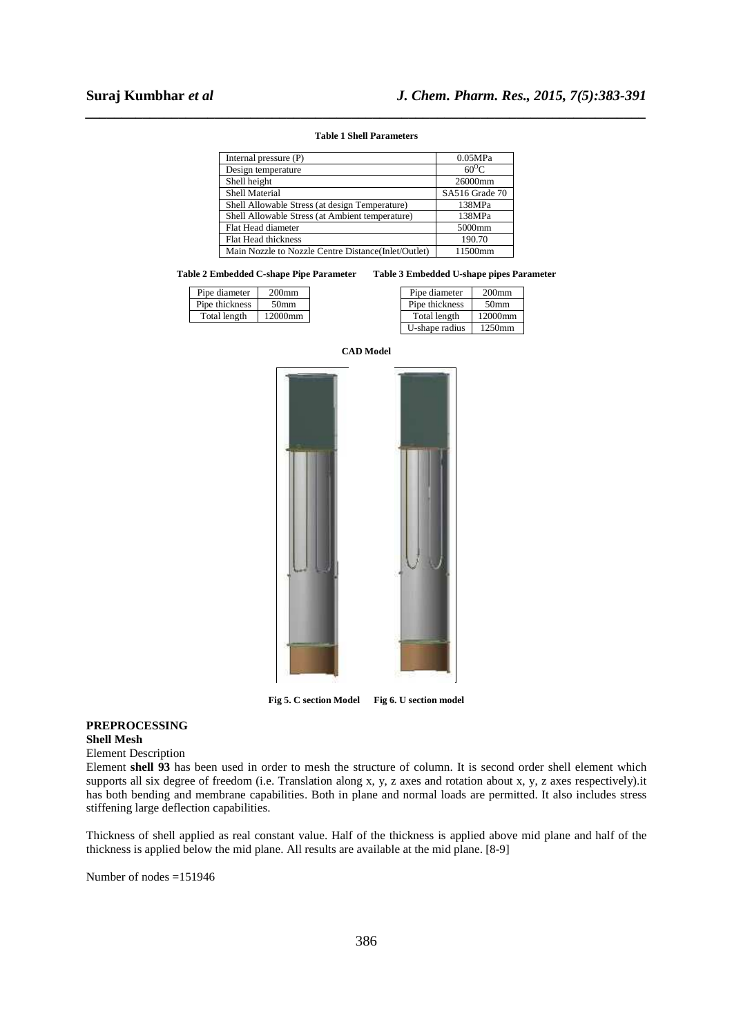# *\_\_\_\_\_\_\_\_\_\_\_\_\_\_\_\_\_\_\_\_\_\_\_\_\_\_\_\_\_\_\_\_\_\_\_\_\_\_\_\_\_\_\_\_\_\_\_\_\_\_\_\_\_\_\_\_\_\_\_\_\_\_\_\_\_\_\_\_\_\_\_\_\_\_\_\_\_\_* **Table 1 Shell Parameters**

| Internal pressure (P)                                | 0.05MPa        |
|------------------------------------------------------|----------------|
| Design temperature                                   | $60^{\circ}$ C |
| Shell height                                         | 26000mm        |
| <b>Shell Material</b>                                | SA516 Grade 70 |
| Shell Allowable Stress (at design Temperature)       | 138MPa         |
| Shell Allowable Stress (at Ambient temperature)      | 138MPa         |
| Flat Head diameter                                   | 5000mm         |
| Flat Head thickness                                  | 190.70         |
| Main Nozzle to Nozzle Centre Distance (Inlet/Outlet) | 11500mm        |

#### **Table 2 Embedded C-shape Pipe Parameter Table 3 Embedded U-shape pipes Parameter**

| Pipe diameter  | 200 <sub>mm</sub> |
|----------------|-------------------|
| Pipe thickness | 50 <sub>mm</sub>  |
| Total length   | 12000mm           |

| Pipe diameter  | $200$ mm         |
|----------------|------------------|
| Pipe thickness | 50 <sub>mm</sub> |
| Total length   | 12000mm          |
| U-shape radius | 1250mm           |



**Fig 5. C section Model Fig 6. U section model** 

#### **PREPROCESSING Shell Mesh**

Element Description

Element **shell 93** has been used in order to mesh the structure of column. It is second order shell element which supports all six degree of freedom (i.e. Translation along x, y, z axes and rotation about x, y, z axes respectively).it has both bending and membrane capabilities. Both in plane and normal loads are permitted. It also includes stress stiffening large deflection capabilities.

Thickness of shell applied as real constant value. Half of the thickness is applied above mid plane and half of the thickness is applied below the mid plane. All results are available at the mid plane. [8-9]

Number of nodes =151946

### **CAD Model**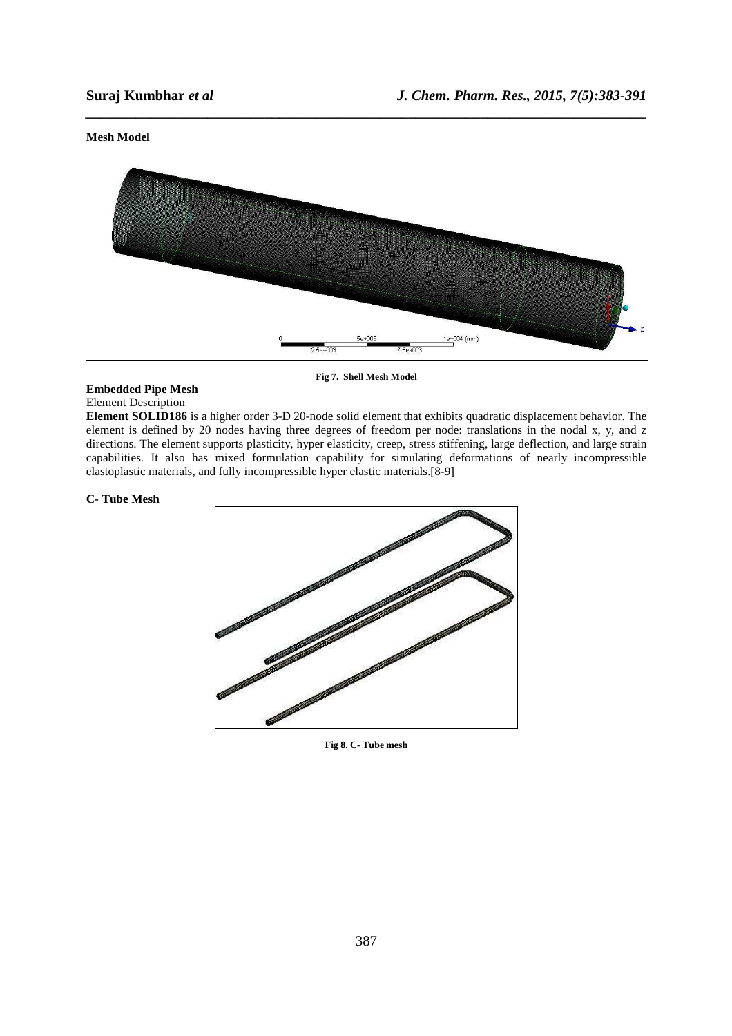# **Mesh Model**



*\_\_\_\_\_\_\_\_\_\_\_\_\_\_\_\_\_\_\_\_\_\_\_\_\_\_\_\_\_\_\_\_\_\_\_\_\_\_\_\_\_\_\_\_\_\_\_\_\_\_\_\_\_\_\_\_\_\_\_\_\_\_\_\_\_\_\_\_\_\_\_\_\_\_\_\_\_\_*

**Fig 7. Shell Mesh Model** 

# **Embedded Pipe Mesh**

Element Description

**Element SOLID186** is a higher order 3-D 20-node solid element that exhibits quadratic displacement behavior. The element is defined by 20 nodes having three degrees of freedom per node: translations in the nodal x, y, and z directions. The element supports plasticity, hyper elasticity, creep, stress stiffening, large deflection, and large strain capabilities. It also has mixed formulation capability for simulating deformations of nearly incompressible elastoplastic materials, and fully incompressible hyper elastic materials.[8-9]

### **C- Tube Mesh**



**Fig 8. C- Tube mesh**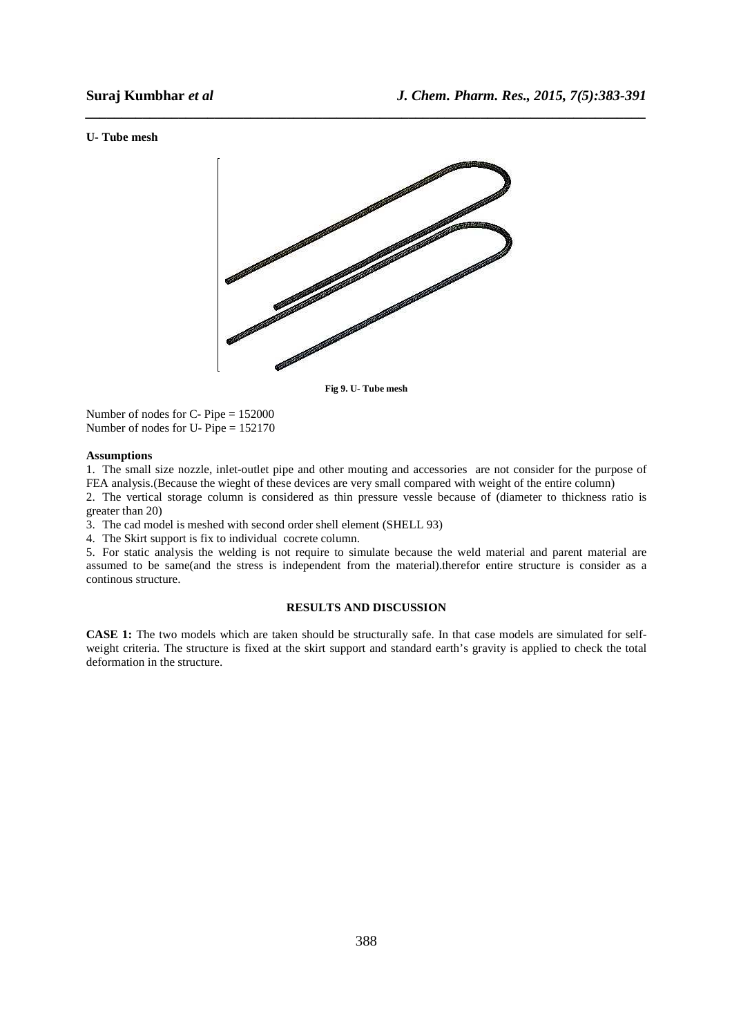#### **U- Tube mesh**



*\_\_\_\_\_\_\_\_\_\_\_\_\_\_\_\_\_\_\_\_\_\_\_\_\_\_\_\_\_\_\_\_\_\_\_\_\_\_\_\_\_\_\_\_\_\_\_\_\_\_\_\_\_\_\_\_\_\_\_\_\_\_\_\_\_\_\_\_\_\_\_\_\_\_\_\_\_\_*

**Fig 9. U- Tube mesh** 

Number of nodes for C- Pipe = 152000 Number of nodes for U- Pipe = 152170

## **Assumptions**

1. The small size nozzle, inlet-outlet pipe and other mouting and accessories are not consider for the purpose of FEA analysis.(Because the wieght of these devices are very small compared with weight of the entire column)

2. The vertical storage column is considered as thin pressure vessle because of (diameter to thickness ratio is greater than 20)

3. The cad model is meshed with second order shell element (SHELL 93)

4. The Skirt support is fix to individual cocrete column.

5. For static analysis the welding is not require to simulate because the weld material and parent material are assumed to be same(and the stress is independent from the material).therefor entire structure is consider as a continous structure.

#### **RESULTS AND DISCUSSION**

**CASE 1:** The two models which are taken should be structurally safe. In that case models are simulated for selfweight criteria. The structure is fixed at the skirt support and standard earth's gravity is applied to check the total deformation in the structure.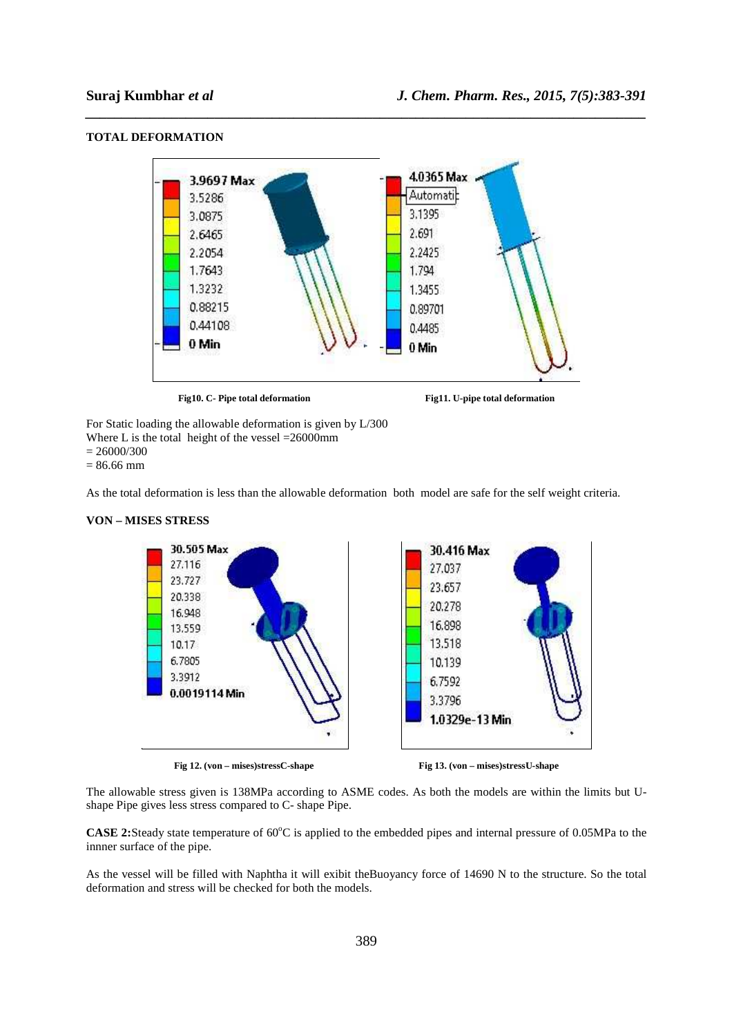

*\_\_\_\_\_\_\_\_\_\_\_\_\_\_\_\_\_\_\_\_\_\_\_\_\_\_\_\_\_\_\_\_\_\_\_\_\_\_\_\_\_\_\_\_\_\_\_\_\_\_\_\_\_\_\_\_\_\_\_\_\_\_\_\_\_\_\_\_\_\_\_\_\_\_\_\_\_\_*

### **TOTAL DEFORMATION**



 $= 86.66$  mm

As the total deformation is less than the allowable deformation both model are safe for the self weight criteria.





The allowable stress given is 138MPa according to ASME codes. As both the models are within the limits but Ushape Pipe gives less stress compared to C- shape Pipe.

**CASE 2:**Steady state temperature of 60<sup>o</sup>C is applied to the embedded pipes and internal pressure of 0.05MPa to the innner surface of the pipe.

As the vessel will be filled with Naphtha it will exibit theBuoyancy force of 14690 N to the structure. So the total deformation and stress will be checked for both the models.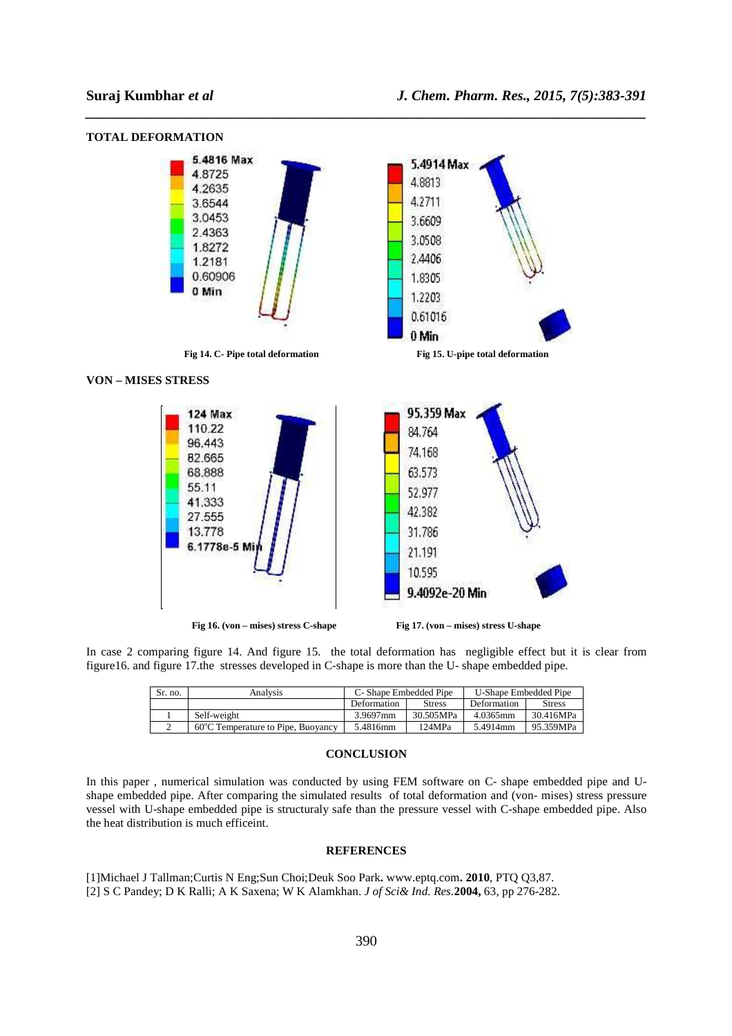**TOTAL DEFORMATION** 



*\_\_\_\_\_\_\_\_\_\_\_\_\_\_\_\_\_\_\_\_\_\_\_\_\_\_\_\_\_\_\_\_\_\_\_\_\_\_\_\_\_\_\_\_\_\_\_\_\_\_\_\_\_\_\_\_\_\_\_\_\_\_\_\_\_\_\_\_\_\_\_\_\_\_\_\_\_\_*

In case 2 comparing figure 14. And figure 15. the total deformation has negligible effect but it is clear from figure16. and figure 17.the stresses developed in C-shape is more than the U- shape embedded pipe.

| Sr. no. | Analvsis                           | C- Shape Embedded Pipe |               | U-Shape Embedded Pipe |               |
|---------|------------------------------------|------------------------|---------------|-----------------------|---------------|
|         |                                    | Deformation            | <b>Stress</b> | Deformation           | <b>Stress</b> |
|         | Self-weight                        | 3.9697mm               | 30.505MPa     | 4.0365mm              | 30.416MPa     |
|         | 60°C Temperature to Pipe, Buoyancy | 5.4816mm               | 124MPa        | 5.4914mm              | 95.359MPa     |

#### **CONCLUSION**

In this paper , numerical simulation was conducted by using FEM software on C- shape embedded pipe and Ushape embedded pipe. After comparing the simulated results of total deformation and (von- mises) stress pressure vessel with U-shape embedded pipe is structuraly safe than the pressure vessel with C-shape embedded pipe. Also the heat distribution is much efficeint.

#### **REFERENCES**

[1]Michael J Tallman;Curtis N Eng;Sun Choi;Deuk Soo Park**.** www.eptq.com**. 2010**, PTQ Q3,87. [2] S C Pandey; D K Ralli; A K Saxena; W K Alamkhan. *J of Sci& Ind. Res.***2004,** 63, pp 276-282.